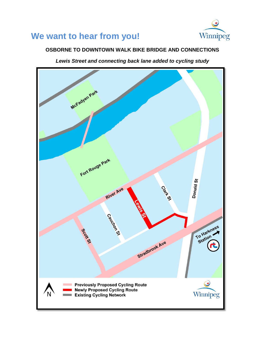## **We want to hear from you!**



## **OSBORNE TO DOWNTOWN WALK BIKE BRIDGE AND CONNECTIONS**

*Lewis Street and connecting back lane added to cycling study*